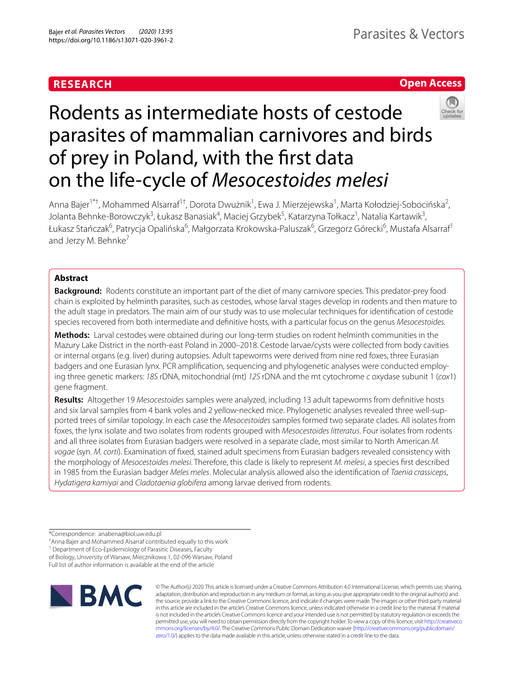# **RESEARCH**

# **Open Access**



# Rodents as intermediate hosts of cestode parasites of mammalian carnivores and birds of prey in Poland, with the frst data on the life-cycle of *Mesocestoides melesi*

Anna Bajer<sup>1\*†</sup>, Mohammed Alsarraf<sup>1†</sup>, Dorota Dwużnik<sup>1</sup>, Ewa J. Mierzejewska<sup>1</sup>, Marta Kołodziej-Sobocińska<sup>2</sup>, Jolanta Behnke-Borowczyk<sup>3</sup>, Łukasz Banasiak<sup>4</sup>, Maciej Grzybek<sup>5</sup>, Katarzyna Tołkacz<sup>1</sup>, Natalia Kartawik<sup>3</sup>, Łukasz Stańczak<sup>6</sup>, Patrycja Opalińska<sup>6</sup>, Małgorzata Krokowska-Paluszak<sup>6</sup>, Grzegorz Górecki<sup>6</sup>, Mustafa Alsarraf<sup>1</sup> and Jerzy M. Behnke<sup>7</sup>

# **Abstract**

**Background:** Rodents constitute an important part of the diet of many carnivore species. This predator-prey food chain is exploited by helminth parasites, such as cestodes, whose larval stages develop in rodents and then mature to the adult stage in predators. The main aim of our study was to use molecular techniques for identifcation of cestode species recovered from both intermediate and defnitive hosts, with a particular focus on the genus *Mesocestoides.*

**Methods:** Larval cestodes were obtained during our long-term studies on rodent helminth communities in the Mazury Lake District in the north-east Poland in 2000–2018. Cestode larvae/cysts were collected from body cavities or internal organs (e.g. liver) during autopsies. Adult tapeworms were derived from nine red foxes, three Eurasian badgers and one Eurasian lynx. PCR amplification, sequencing and phylogenetic analyses were conducted employing three genetic markers: *18S* rDNA, mitochondrial (mt) *12S* rDNA and the mt cytochrome *c* oxydase subunit 1 (*cox*1) gene fragment.

**Results:** Altogether 19 *Mesocestoides* samples were analyzed, including 13 adult tapeworms from defnitive hosts and six larval samples from 4 bank voles and 2 yellow-necked mice. Phylogenetic analyses revealed three well-supported trees of similar topology. In each case the *Mesocestoides* samples formed two separate clades. All isolates from foxes, the lynx isolate and two isolates from rodents grouped with *Mesocestoides litteratus*. Four isolates from rodents and all three isolates from Eurasian badgers were resolved in a separate clade, most similar to North American *M. vogae* (syn. *M. corti*). Examination of fxed, stained adult specimens from Eurasian badgers revealed consistency with the morphology of *Mesocestoides melesi*. Therefore, this clade is likely to represent *M. melesi*, a species frst described in 1985 from the Eurasian badger *Meles meles*. Molecular analysis allowed also the identifcation of *Taenia crassiceps*, *Hydatigera kamiyai* and *Cladotaenia globifera* among larvae derived from rodents.

† Anna Bajer and Mohammed Alsarraf contributed equally to this work

<sup>1</sup> Department of Eco-Epidemiology of Parasitic Diseases, Faculty

of Biology, University of Warsaw, Miecznikowa 1, 02‑096 Warsaw, Poland

Full list of author information is available at the end of the article



© The Author(s) 2020. This article is licensed under a Creative Commons Attribution 4.0 International License, which permits use, sharing, adaptation, distribution and reproduction in any medium or format, as long as you give appropriate credit to the original author(s) and the source, provide a link to the Creative Commons licence, and indicate if changes were made. The images or other third party material in this article are included in the article's Creative Commons licence, unless indicated otherwise in a credit line to the material. If material is not included in the article's Creative Commons licence and your intended use is not permitted by statutory regulation or exceeds the permitted use, you will need to obtain permission directly from the copyright holder. To view a copy of this licence, visit [http://creativeco](http://creativecommons.org/licenses/by/4.0/) [mmons.org/licenses/by/4.0/.](http://creativecommons.org/licenses/by/4.0/) The Creative Commons Public Domain Dedication waiver ([http://creativecommons.org/publicdomain/](http://creativecommons.org/publicdomain/zero/1.0/) [zero/1.0/\)](http://creativecommons.org/publicdomain/zero/1.0/) applies to the data made available in this article, unless otherwise stated in a credit line to the data.

<sup>\*</sup>Correspondence: anabena@biol.uw.edu.pl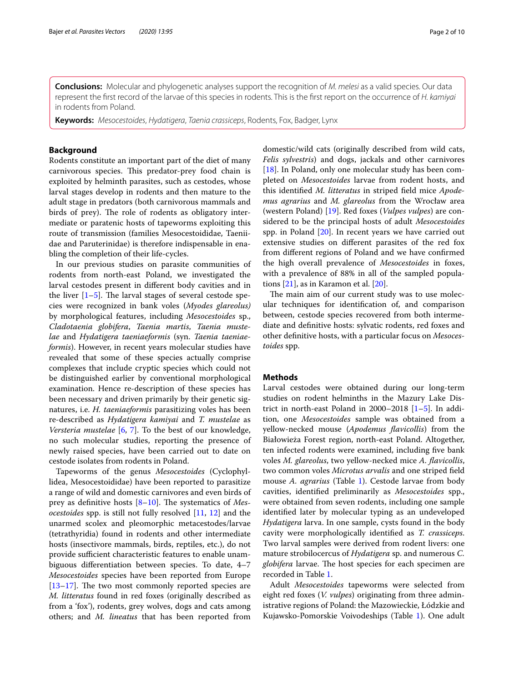**Conclusions:** Molecular and phylogenetic analyses support the recognition of *M. melesi* as a valid species. Our data represent the frst record of the larvae of this species in rodents. This is the frst report on the occurrence of *H. kamiyai* in rodents from Poland.

**Keywords:** *Mesocestoides*, *Hydatigera*, *Taenia crassiceps*, Rodents, Fox, Badger, Lynx

# **Background**

Rodents constitute an important part of the diet of many carnivorous species. This predator-prey food chain is exploited by helminth parasites, such as cestodes, whose larval stages develop in rodents and then mature to the adult stage in predators (both carnivorous mammals and birds of prey). The role of rodents as obligatory intermediate or paratenic hosts of tapeworms exploiting this route of transmission (families Mesocestoididae, Taeniidae and Paruterinidae) is therefore indispensable in enabling the completion of their life-cycles.

In our previous studies on parasite communities of rodents from north-east Poland, we investigated the larval cestodes present in diferent body cavities and in the liver  $[1–5]$  $[1–5]$  $[1–5]$ . The larval stages of several cestode species were recognized in bank voles (*Myodes glareolus)* by morphological features, including *Mesocestoides* sp., *Cladotaenia globifera*, *Taenia martis*, *Taenia mustelae* and *Hydatigera taeniaeformis* (syn. *Taenia taeniaeformis*). However, in recent years molecular studies have revealed that some of these species actually comprise complexes that include cryptic species which could not be distinguished earlier by conventional morphological examination. Hence re-description of these species has been necessary and driven primarily by their genetic signatures, i.e. *H. taeniaeformis* parasitizing voles has been re-described as *Hydatigera kamiyai* and *T. mustelae* as *Versteria mustelae* [\[6](#page-9-2), [7\]](#page-9-3). To the best of our knowledge, no such molecular studies, reporting the presence of newly raised species, have been carried out to date on cestode isolates from rodents in Poland.

Tapeworms of the genus *Mesocestoides* (Cyclophyllidea, Mesocestoididae) have been reported to parasitize a range of wild and domestic carnivores and even birds of prey as definitive hosts [\[8](#page-9-4)-10]. The systematics of *Mesocestoides* spp. is still not fully resolved [\[11](#page-9-6), [12](#page-9-7)] and the unarmed scolex and pleomorphic metacestodes/larvae (tetrathyridia) found in rodents and other intermediate hosts (insectivore mammals, birds, reptiles, etc.), do not provide sufficient characteristic features to enable unambiguous diferentiation between species. To date, 4–7 *Mesocestoides* species have been reported from Europe  $[13–17]$  $[13–17]$  $[13–17]$  $[13–17]$ . The two most commonly reported species are *M. litteratus* found in red foxes (originally described as from a 'fox'), rodents, grey wolves, dogs and cats among others; and *M. lineatus* that has been reported from domestic/wild cats (originally described from wild cats, *Felis sylvestris*) and dogs, jackals and other carnivores [[18\]](#page-9-10). In Poland, only one molecular study has been completed on *Mesocestoides* larvae from rodent hosts, and this identifed *M. litteratus* in striped feld mice *Apodemus agrarius* and *M. glareolus* from the Wrocław area (western Poland) [\[19\]](#page-9-11). Red foxes (*Vulpes vulpes*) are considered to be the principal hosts of adult *Mesocestoides* spp. in Poland [\[20\]](#page-9-12). In recent years we have carried out extensive studies on diferent parasites of the red fox from diferent regions of Poland and we have confrmed the high overall prevalence of *Mesocestoides* in foxes, with a prevalence of 88% in all of the sampled populations [[21](#page-9-13)], as in Karamon et al. [\[20](#page-9-12)].

The main aim of our current study was to use molecular techniques for identifcation of, and comparison between, cestode species recovered from both intermediate and defnitive hosts: sylvatic rodents, red foxes and other defnitive hosts, with a particular focus on *Mesocestoides* spp.

#### **Methods**

Larval cestodes were obtained during our long-term studies on rodent helminths in the Mazury Lake District in north-east Poland in 2000–2018 [\[1–](#page-9-0)[5\]](#page-9-1). In addition, one *Mesocestoides* sample was obtained from a yellow-necked mouse (*Apodemus favicollis*) from the Białowieża Forest region, north-east Poland. Altogether, ten infected rodents were examined, including fve bank voles *M. glareolus*, two yellow-necked mice *A. favicollis*, two common voles *Microtus arvalis* and one striped feld mouse *A. agrarius* (Table [1](#page-2-0)). Cestode larvae from body cavities, identifed preliminarily as *Mesocestoides* spp., were obtained from seven rodents, including one sample identifed later by molecular typing as an undeveloped *Hydatigera* larva. In one sample, cysts found in the body cavity were morphologically identifed as *T. crassiceps*. Two larval samples were derived from rodent livers: one mature strobilocercus of *Hydatigera* sp. and numerous *C. globifera* larvae. The host species for each specimen are recorded in Table [1](#page-2-0).

Adult *Mesocestoides* tapeworms were selected from eight red foxes (*V. vulpes*) originating from three administrative regions of Poland: the Mazowieckie, Łódzkie and Kujawsko-Pomorskie Voivodeships (Table [1](#page-2-0)). One adult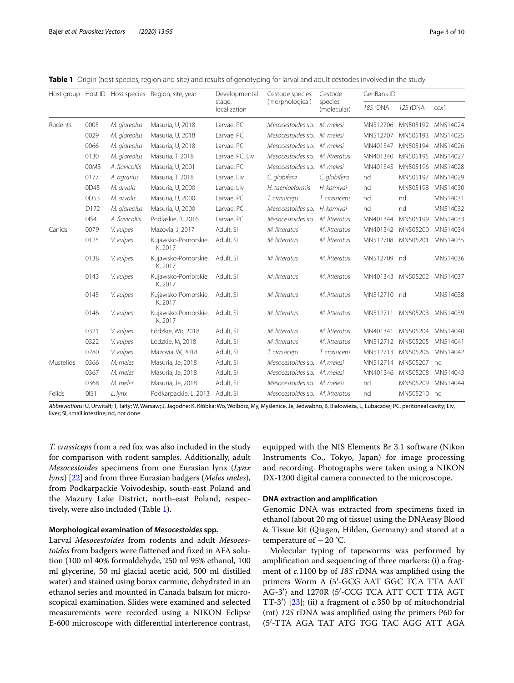| Host group Host ID |      |                | Host species Region, site, year | Developmental<br>stage,<br>localization | Cestode species<br>(morphological) | Cestode<br>species<br>(molecular) | GenBank ID |             |          |
|--------------------|------|----------------|---------------------------------|-----------------------------------------|------------------------------------|-----------------------------------|------------|-------------|----------|
|                    |      |                |                                 |                                         |                                    |                                   | 18S rDNA   | 12S rDNA    | $\cos 1$ |
| Rodents            | 0005 | M. glareolus   | Masuria, U, 2018                | Larvae, PC                              | Mesocestoides sp. M. melesi        |                                   | MN512706   | MN505192    | MN514024 |
|                    | 0029 | M. glareolus   | Masuria, U, 2018                | Larvae, PC                              | Mesocestoides sp. M. melesi        |                                   | MN512707   | MN505193    | MN514025 |
|                    | 0066 | M. glareolus   | Masuria, U, 2018                | Larvae, PC                              | Mesocestoides sp. M. melesi        |                                   | MN401347   | MN505194    | MN514026 |
|                    | 0130 | M. glareolus   | Masuria, T, 2018                | Larvae, PC, Liv                         | Mesocestoides sp. M. litteratus    |                                   | MN401340   | MN505195    | MN514027 |
|                    | 00M3 | A. flavicollis | Masuria, U, 2001                | Larvae, PC                              | Mesocestoides sp. M. melesi        |                                   | MN401345   | MN505196    | MN514028 |
|                    | 0177 | A. agrarius    | Masuria, T, 2018                | Larvae, Liv                             | C. globifera                       | C. globifera                      | nd         | MN505197    | MN514029 |
|                    | 0D45 | M. arvalis     | Masuria, U, 2000                | Larvae, Liv                             | H. taeniaeformis                   | H. kamiyai                        | nd         | MN505198    | MN514030 |
|                    | 0D53 | M. arvalis     | Masuria, U, 2000                | Larvae, PC                              | T. crassiceps                      | T. crassiceps                     | nd         | nd          | MN514031 |
|                    | D172 | M. glareolus   | Masuria, U, 2000                | Larvae, PC                              | Mesocestoides sp.                  | H. kamiyai                        | nd         | nd          | MN514032 |
|                    | OIS4 | A. flavicollis | Podlaskie, B, 2016              | Larvae, PC                              | Mesocestoides sp.                  | M. litteratus                     | MN401344   | MN505199    | MN514033 |
| Canids             | 0079 | V. vulpes      | Mazovia, J, 2017                | Adult, SI                               | M. litteratus                      | M. litteratus                     | MN401342   | MN505200    | MN514034 |
|                    | 0125 | V. vulpes      | Kujawsko-Pomorskie,<br>K, 2017  | Adult, SI                               | M. litteratus                      | M. litteratus                     | MN512708   | MN505201    | MN514035 |
|                    | 0138 | V. vulpes      | Kujawsko-Pomorskie,<br>K, 2017  | Adult, SI                               | M. litteratus                      | M. litteratus                     | MN512709   | nd          | MN514036 |
|                    | 0143 | V. vulpes      | Kujawsko-Pomorskie,<br>K. 2017  | Adult, SI                               | M. litteratus                      | M. litteratus                     | MN401343   | MN505202    | MN514037 |
|                    | 0145 | V. vulpes      | Kujawsko-Pomorskie,<br>K, 2017  | Adult, SI                               | M. litteratus                      | M. litteratus                     | MN512710   | - nd        | MN514038 |
|                    | 0146 | V. vulpes      | Kujawsko-Pomorskie,<br>K, 2017  | Adult, SI                               | M. litteratus                      | M. litteratus                     | MN512711   | MN505203    | MN514039 |
|                    | 0321 | V. vulpes      | Łódzkie, Wo, 2018               | Adult, SI                               | M. litteratus                      | M. litteratus                     | MN401341   | MN505204    | MN514040 |
|                    | 0322 | V. vulpes      | Łódzkie, M, 2018                | Adult, SI                               | M. litteratus                      | M. litteratus                     | MN512712   | MN505205    | MN514041 |
|                    | 0280 | V. vulpes      | Mazovia, W, 2018                | Adult, SI                               | T. crassiceps                      | T. crassiceps                     | MN512713   | MN505206    | MN514042 |
| Mustelids          | 0366 | M. meles       | Masuria, Je, 2018               | Adult, SI                               | Mesocestoides sp.                  | M. melesi                         | MN512714   | MN505207    | nd       |
|                    | 0367 | M. meles       | Masuria, Je, 2018               | Adult, SI                               | Mesocestoides sp. M. melesi        |                                   | MN401346   | MN505208    | MN514043 |
|                    | 0368 | M. meles       | Masuria, Je, 2018               | Adult, SI                               | Mesocestoides sp. M. melesi        |                                   | nd         | MN505209    | MN514044 |
| Felids             | OIS1 | L. lynx        | Podkarpackie, L, 2013           | Adult, SI                               | Mesocestoides sp. M. litteratus    |                                   | nd         | MN505210 nd |          |

<span id="page-2-0"></span>**Table 1** Origin (host species, region and site) and results of genotyping for larval and adult cestodes involved in the study

*Abbreviations*: U, Urwitałt; T, Tałty; W, Warsaw; J, Jagodne; K, Kłóbka; Wo, Wolbórz, My, Myślenice, Je, Jedwabno, B, Białowieża, L, Lubaczów; PC, peritoneal cavity; Liv, liver; SI, small intestine; nd, not done

*T. crassiceps* from a red fox was also included in the study for comparison with rodent samples. Additionally, adult *Mesocestoides* specimens from one Eurasian lynx (*Lynx lynx*) [[22\]](#page-9-14) and from three Eurasian badgers (*Meles meles*), from Podkarpackie Voivodeship, south-east Poland and the Mazury Lake District, north-east Poland, respectively, were also included (Table [1](#page-2-0)).

#### **Morphological examination of** *Mesocestoides* **spp.**

Larval *Mesocestoides* from rodents and adult *Mesocestoides* from badgers were fattened and fxed in AFA solution (100 ml 40% formaldehyde, 250 ml 95% ethanol, 100 ml glycerine, 50 ml glacial acetic acid, 500 ml distilled water) and stained using borax carmine, dehydrated in an ethanol series and mounted in Canada balsam for microscopical examination. Slides were examined and selected measurements were recorded using a NIKON Eclipse E-600 microscope with diferential interference contrast, equipped with the NIS Elements Br 3.1 software (Nikon Instruments Co., Tokyo, Japan) for image processing and recording. Photographs were taken using a NIKON DX-1200 digital camera connected to the microscope.

# **DNA extraction and amplifcation**

Genomic DNA was extracted from specimens fxed in ethanol (about 20 mg of tissue) using the DNAeasy Blood & Tissue kit (Qiagen, Hilden, Germany) and stored at a temperature of  $-20$  °C.

Molecular typing of tapeworms was performed by amplifcation and sequencing of three markers: (i) a fragment of *c.*1100 bp of *18S* rDNA was amplifed using the primers Worm A (5′-GCG AAT GGC TCA TTA AAT AG-3′) and 1270R (5′-CCG TCA ATT CCT TTA AGT TT-3′) [\[23\]](#page-9-15); (ii) a fragment of *c.*350 bp of mitochondrial (mt) *12S* rDNA was amplifed using the primers P60 for (5′-TTA AGA TAT ATG TGG TAC AGG ATT AGA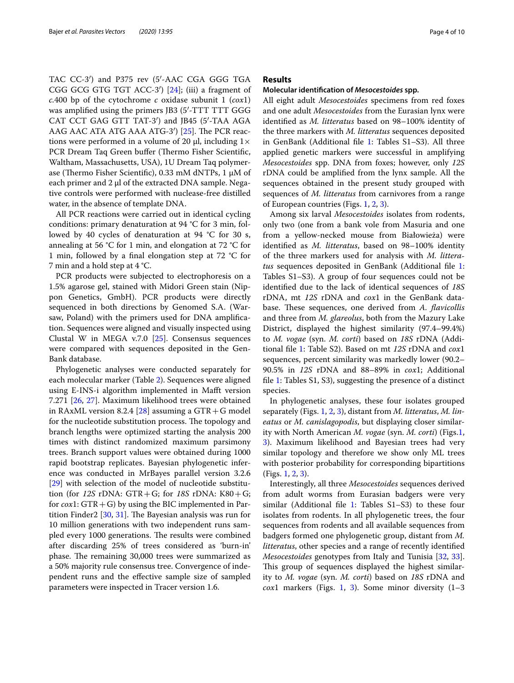TAC CC-3′) and P375 rev (5′-AAC CGA GGG TGA CGG GCG GTG TGT ACC-3′) [[24](#page-9-16)]; (iii) a fragment of *c.*400 bp of the cytochrome *c* oxidase subunit 1 (*cox*1) was amplified using the primers JB3 (5'-TTT TTT GGG CAT CCT GAG GTT TAT-3′) and JB45 (5′-TAA AGA AAG AAC ATA ATG AAA ATG-3')  $[25]$  $[25]$ . The PCR reactions were performed in a volume of 20 μl, including  $1 \times$ PCR Dream Taq Green buffer (Thermo Fisher Scientific, Waltham, Massachusetts, USA), 1U Dream Taq polymerase (Thermo Fisher Scientific), 0.33 mM dNTPs, 1 μM of each primer and 2 μl of the extracted DNA sample. Negative controls were performed with nuclease-free distilled water, in the absence of template DNA.

All PCR reactions were carried out in identical cycling conditions: primary denaturation at 94 °C for 3 min, followed by 40 cycles of denaturation at 94 °C for 30 s, annealing at 56 °C for 1 min, and elongation at 72 °C for 1 min, followed by a fnal elongation step at 72 °C for 7 min and a hold step at 4 °C.

PCR products were subjected to electrophoresis on a 1.5% agarose gel, stained with Midori Green stain (Nippon Genetics, GmbH). PCR products were directly sequenced in both directions by Genomed S.A. (Warsaw, Poland) with the primers used for DNA amplifcation. Sequences were aligned and visually inspected using Clustal W in MEGA v.7.0 [\[25](#page-9-17)]. Consensus sequences were compared with sequences deposited in the Gen-Bank database.

Phylogenetic analyses were conducted separately for each molecular marker (Table [2\)](#page-7-0). Sequences were aligned using E-INS-i algorithm implemented in Maft version 7.271 [[26,](#page-9-18) [27](#page-9-19)]. Maximum likelihood trees were obtained in RAxML version 8.2.4 [[28\]](#page-9-20) assuming a  $GTR + G$  model for the nucleotide substitution process. The topology and branch lengths were optimized starting the analysis 200 times with distinct randomized maximum parsimony trees. Branch support values were obtained during 1000 rapid bootstrap replicates. Bayesian phylogenetic inference was conducted in MrBayes parallel version 3.2.6 [[29\]](#page-9-21) with selection of the model of nucleotide substitution (for *12S* rDNA: GTR+G; for *18S* rDNA: K80+G; for  $\cos 1$ : GTR + G) by using the BIC implemented in Partition Finder2  $[30, 31]$  $[30, 31]$  $[30, 31]$ . The Bayesian analysis was run for 10 million generations with two independent runs sampled every 1000 generations. The results were combined after discarding 25% of trees considered as 'burn-in' phase. The remaining 30,000 trees were summarized as a 50% majority rule consensus tree. Convergence of independent runs and the efective sample size of sampled parameters were inspected in Tracer version 1.6.

# **Results**

### **Molecular identifcation of** *Mesocestoides* **spp.**

All eight adult *Mesocestoides* specimens from red foxes and one adult *Mesocestoides* from the Eurasian lynx were identifed as *M. litteratus* based on 98–100% identity of the three markers with *M. litteratus* sequences deposited in GenBank (Additional fle [1:](#page-8-0) Tables S1–S3). All three applied genetic markers were successful in amplifying *Mesocestoides* spp. DNA from foxes; however, only *12S* rDNA could be amplifed from the lynx sample. All the sequences obtained in the present study grouped with sequences of *M. litteratus* from carnivores from a range of European countries (Figs. [1](#page-4-0), [2,](#page-5-0) [3](#page-6-0)).

Among six larval *Mesocestoides* isolates from rodents, only two (one from a bank vole from Masuria and one from a yellow-necked mouse from Białowieża) were identifed as *M. litteratus*, based on 98–100% identity of the three markers used for analysis with *M. litteratus* sequences deposited in GenBank (Additional fle [1](#page-8-0): Tables S1–S3). A group of four sequences could not be identifed due to the lack of identical sequences of *18S* rDNA, mt *12S* rDNA and *cox*1 in the GenBank database. These sequences, one derived from *A. flavicollis* and three from *M. glareolus*, both from the Mazury Lake District, displayed the highest similarity (97.4–99.4%) to *M. vogae* (syn. *M. corti*) based on *18S* rDNA (Additional fle [1:](#page-8-0) Table S2). Based on mt *12S* rDNA and *cox*1 sequences, percent similarity was markedly lower (90.2– 90.5% in *12S* rDNA and 88–89% in *cox*1; Additional fle [1:](#page-8-0) Tables S1, S3), suggesting the presence of a distinct species.

In phylogenetic analyses, these four isolates grouped separately (Figs. [1,](#page-4-0) [2](#page-5-0), [3\)](#page-6-0), distant from *M. litteratus*, *M. lineatus* or *M. canislagopodis*, but displaying closer similarity with North American *M. vogae* (syn. *M. corti*) (Figs[.1](#page-4-0), [3\)](#page-6-0). Maximum likelihood and Bayesian trees had very similar topology and therefore we show only ML trees with posterior probability for corresponding bipartitions (Figs. [1,](#page-4-0) [2](#page-5-0), [3\)](#page-6-0).

Interestingly, all three *Mesocestoides* sequences derived from adult worms from Eurasian badgers were very similar (Additional file [1](#page-8-0): Tables  $S1-S3$ ) to these four isolates from rodents. In all phylogenetic trees, the four sequences from rodents and all available sequences from badgers formed one phylogenetic group, distant from *M. litteratus*, other species and a range of recently identifed *Mesocestoides* genotypes from Italy and Tunisia [\[32,](#page-9-24) [33](#page-9-25)]. This group of sequences displayed the highest similarity to *M. vogae* (syn. *M. corti*) based on *18S* rDNA and *cox*1 markers (Figs. [1](#page-4-0), [3\)](#page-6-0). Some minor diversity (1–3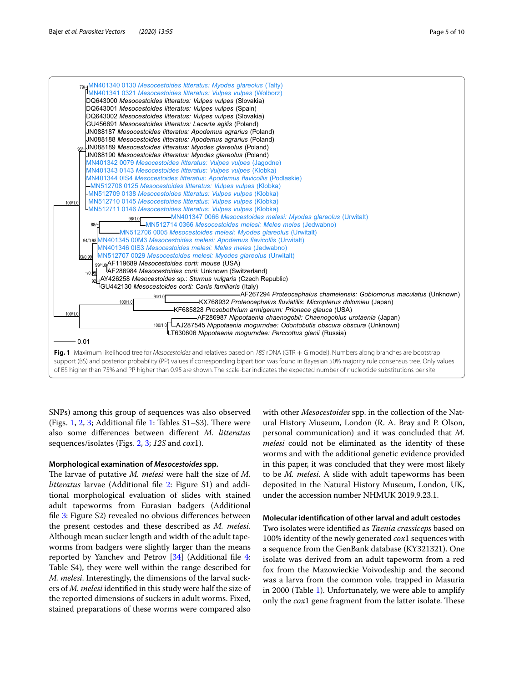

<span id="page-4-0"></span>**Fig. 1** Maximum likelihood tree for *Mesocestoides* and relatives based on *18S* rDNA (GTR + G model). Numbers along branches are bootstrap support (BS) and posterior probability (PP) values if corresponding bipartition was found in Bayesian 50% majority rule consensus tree. Only values of BS higher than 75% and PP higher than 0.95 are shown. The scale-bar indicates the expected number of nucleotide substitutions per site

SNPs) among this group of sequences was also observed (Figs. [1](#page-8-0), [2](#page-5-0), [3](#page-6-0); Additional file 1: Tables  $S1-S3$ ). There were also some diferences between diferent *M. litteratus* sequences/isolates (Figs. [2](#page-5-0), [3;](#page-6-0) *12S* and *cox*1).

# **Morphological examination of** *Mesocestoides* **spp.**

The larvae of putative *M. melesi* were half the size of *M. litteratus* larvae (Additional fle [2](#page-8-1): Figure S1) and additional morphological evaluation of slides with stained adult tapeworms from Eurasian badgers (Additional file [3:](#page-8-2) Figure S2) revealed no obvious differences between the present cestodes and these described as *M. melesi*. Although mean sucker length and width of the adult tapeworms from badgers were slightly larger than the means reported by Yanchev and Petrov [\[34\]](#page-9-26) (Additional fle [4](#page-8-3): Table S4), they were well within the range described for *M. melesi*. Interestingly, the dimensions of the larval suckers of *M. melesi* identifed in this study were half the size of the reported dimensions of suckers in adult worms. Fixed, stained preparations of these worms were compared also

with other *Mesocestoides* spp. in the collection of the Natural History Museum, London (R. A. Bray and P. Olson, personal communication) and it was concluded that *M. melesi* could not be eliminated as the identity of these worms and with the additional genetic evidence provided in this paper, it was concluded that they were most likely to be *M. melesi*. A slide with adult tapeworms has been deposited in the Natural History Museum, London, UK, under the accession number NHMUK 2019.9.23.1.

# **Molecular identifcation of other larval and adult cestodes**

Two isolates were identifed as *Taenia crassiceps* based on 100% identity of the newly generated *cox*1 sequences with a sequence from the GenBank database (KY321321). One isolate was derived from an adult tapeworm from a red fox from the Mazowieckie Voivodeship and the second was a larva from the common vole, trapped in Masuria in 2000 (Table [1](#page-2-0)). Unfortunately, we were able to amplify only the *cox*1 gene fragment from the latter isolate. These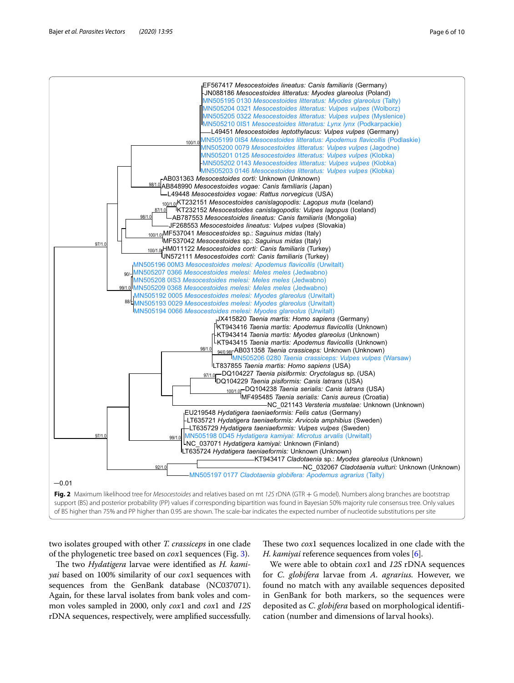

<span id="page-5-0"></span>two isolates grouped with other *T. crassiceps* in one clade of the phylogenetic tree based on *cox*1 sequences (Fig. [3\)](#page-6-0).

The two *Hydatigera* larvae were identified as *H. kamiyai* based on 100% similarity of our *cox*1 sequences with sequences from the GenBank database (NC037071). Again, for these larval isolates from bank voles and common voles sampled in 2000, only *cox*1 and *cox*1 and *12S* rDNA sequences, respectively, were amplifed successfully.

These two *cox*1 sequences localized in one clade with the *H. kamiyai* reference sequences from voles [\[6\]](#page-9-2).

We were able to obtain *cox*1 and *12S* rDNA sequences for *C. globifera* larvae from *A. agrarius.* However, we found no match with any available sequences deposited in GenBank for both markers, so the sequences were deposited as *C. globifera* based on morphological identifcation (number and dimensions of larval hooks).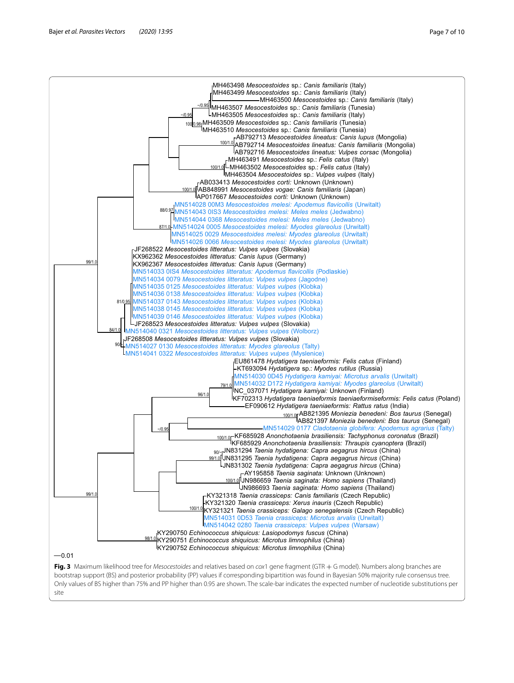

<span id="page-6-0"></span>bootstrap support (BS) and posterior probability (PP) values if corresponding bipartition was found in Bayesian 50% majority rule consensus tree. Only values of BS higher than 75% and PP higher than 0.95 are shown. The scale-bar indicates the expected number of nucleotide substitutions per site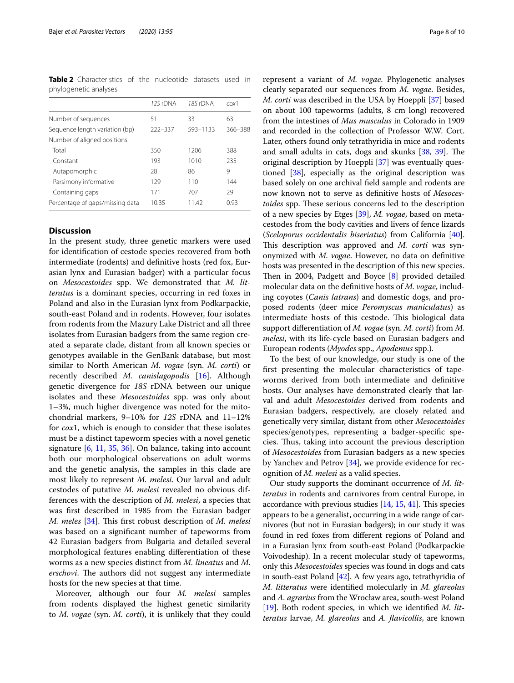<span id="page-7-0"></span>**Table 2** Characteristics of the nucleotide datasets used in phylogenetic analyses

|                                 | 12S rDNA | 18S rDNA | $\cos 1$ |
|---------------------------------|----------|----------|----------|
| Number of sequences             | 51       | 33       | 63       |
| Sequence length variation (bp)  | 222-337  | 593-1133 | 366-388  |
| Number of aligned positions     |          |          |          |
| Total                           | 350      | 1206     | 388      |
| Constant                        | 193      | 1010     | 235      |
| Autapomorphic                   | 28       | 86       | 9        |
| Parsimony informative           | 129      | 110      | 144      |
| Containing gaps                 | 171      | 707      | 29       |
| Percentage of gaps/missing data | 1035     | 11.42    | 0.93     |

# **Discussion**

In the present study, three genetic markers were used for identifcation of cestode species recovered from both intermediate (rodents) and defnitive hosts (red fox, Eurasian lynx and Eurasian badger) with a particular focus on *Mesocestoides* spp. We demonstrated that *M. litteratus* is a dominant species, occurring in red foxes in Poland and also in the Eurasian lynx from Podkarpackie, south-east Poland and in rodents. However, four isolates from rodents from the Mazury Lake District and all three isolates from Eurasian badgers from the same region created a separate clade, distant from all known species or genotypes available in the GenBank database, but most similar to North American *M. vogae* (syn. *M. corti*) or recently described *M. canislagopodis* [[16\]](#page-9-27). Although genetic divergence for *18S* rDNA between our unique isolates and these *Mesocestoides* spp. was only about 1–3%, much higher divergence was noted for the mitochondrial markers, 9–10% for *12S* rDNA and 11–12% for *cox*1, which is enough to consider that these isolates must be a distinct tapeworm species with a novel genetic signature [\[6](#page-9-2), [11](#page-9-6), [35](#page-9-28), [36](#page-9-29)]. On balance, taking into account both our morphological observations on adult worms and the genetic analysis, the samples in this clade are most likely to represent *M. melesi*. Our larval and adult cestodes of putative *M. melesi* revealed no obvious differences with the description of *M. melesi*, a species that was frst described in 1985 from the Eurasian badger *M. meles* [[34](#page-9-26)]. This first robust description of *M. melesi* was based on a signifcant number of tapeworms from 42 Eurasian badgers from Bulgaria and detailed several morphological features enabling diferentiation of these worms as a new species distinct from *M. lineatus* and *M. erschovi*. The authors did not suggest any intermediate hosts for the new species at that time.

Moreover, although our four *M. melesi* samples from rodents displayed the highest genetic similarity to *M. vogae* (syn. *M. corti*), it is unlikely that they could

represent a variant of *M. vogae*. Phylogenetic analyses clearly separated our sequences from *M. vogae*. Besides, *M. corti* was described in the USA by Hoeppli [[37](#page-9-30)] based on about 100 tapeworms (adults, 8 cm long) recovered from the intestines of *Mus musculus* in Colorado in 1909 and recorded in the collection of Professor W.W. Cort. Later, others found only tetrathyridia in mice and rodents and small adults in cats, dogs and skunks [\[38](#page-9-31), [39\]](#page-9-32). The original description by Hoeppli [\[37](#page-9-30)] was eventually questioned [\[38\]](#page-9-31), especially as the original description was based solely on one archival feld sample and rodents are now known not to serve as defnitive hosts of *Mesocestoides* spp. These serious concerns led to the description of a new species by Etges [\[39\]](#page-9-32), *M. vogae*, based on metacestodes from the body cavities and livers of fence lizards (*Sceloporus occidentalis biseriatus*) from California [\[40](#page-9-33)]. This description was approved and *M. corti* was synonymized with *M. vogae*. However, no data on defnitive hosts was presented in the description of this new species. Then in 2004, Padgett and Boyce  $[8]$  $[8]$  provided detailed molecular data on the defnitive hosts of *M. vogae*, including coyotes (*Canis latrans*) and domestic dogs, and proposed rodents (deer mice *Peromyscus maniculatus*) as intermediate hosts of this cestode. This biological data support diferentiation of *M. vogae* (syn. *M. corti*) from *M. melesi*, with its life-cycle based on Eurasian badgers and European rodents (*Myodes* spp., *Apodemus* spp.).

To the best of our knowledge, our study is one of the frst presenting the molecular characteristics of tapeworms derived from both intermediate and defnitive hosts. Our analyses have demonstrated clearly that larval and adult *Mesocestoides* derived from rodents and Eurasian badgers, respectively, are closely related and genetically very similar, distant from other *Mesocestoides* species/genotypes, representing a badger-specifc species. Thus, taking into account the previous description of *Mesocestoides* from Eurasian badgers as a new species by Yanchev and Petrov [[34\]](#page-9-26), we provide evidence for recognition of *M. melesi* as a valid species.

Our study supports the dominant occurrence of *M. litteratus* in rodents and carnivores from central Europe, in accordance with previous studies  $[14, 15, 41]$  $[14, 15, 41]$  $[14, 15, 41]$  $[14, 15, 41]$  $[14, 15, 41]$  $[14, 15, 41]$  $[14, 15, 41]$ . This species appears to be a generalist, occurring in a wide range of carnivores (but not in Eurasian badgers); in our study it was found in red foxes from diferent regions of Poland and in a Eurasian lynx from south-east Poland (Podkarpackie Voivodeship). In a recent molecular study of tapeworms, only this *Mesocestoides* species was found in dogs and cats in south-east Poland [[42](#page-9-37)]. A few years ago, tetrathyridia of *M. litteratus* were identifed molecularly in *M. glareolus* and *A. agrarius* from the Wrocław area, south-west Poland [[19](#page-9-11)]. Both rodent species, in which we identifed *M. litteratus* larvae, *M. glareolus* and *A. favicollis*, are known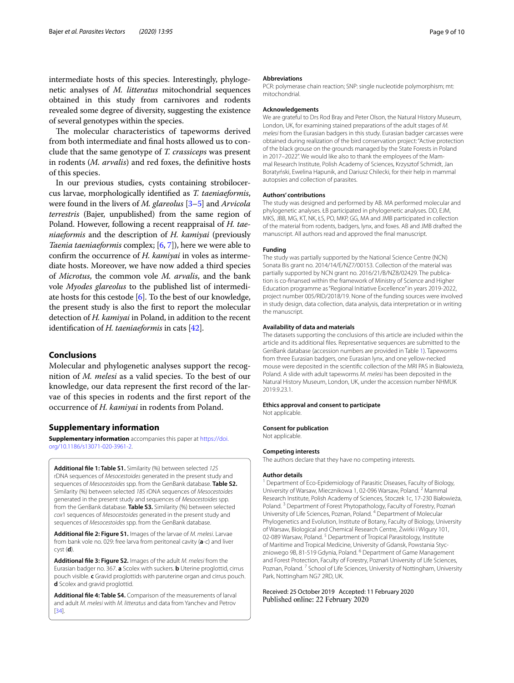intermediate hosts of this species. Interestingly, phylogenetic analyses of *M. litteratus* mitochondrial sequences obtained in this study from carnivores and rodents revealed some degree of diversity, suggesting the existence of several genotypes within the species.

The molecular characteristics of tapeworms derived from both intermediate and fnal hosts allowed us to conclude that the same genotype of *T. crassiceps* was present in rodents (*M. arvalis*) and red foxes, the defnitive hosts of this species.

In our previous studies, cysts containing strobilocercus larvae, morphologically identifed as *T. taeniaeformis*, were found in the livers of *M. glareolus* [\[3](#page-9-38)–[5\]](#page-9-1) and *Arvicola terrestris* (Bajer, unpublished) from the same region of Poland. However, following a recent reappraisal of *H. taeniaeformis* and the description of *H. kamiyai* (previously *Taenia taeniaeformis* complex; [[6,](#page-9-2) [7\]](#page-9-3)), here we were able to confrm the occurrence of *H. kamiyai* in voles as intermediate hosts. Moreover, we have now added a third species of *Microtus*, the common vole *M. arvalis*, and the bank vole *Myodes glareolus* to the published list of intermediate hosts for this cestode [\[6\]](#page-9-2). To the best of our knowledge, the present study is also the frst to report the molecular detection of *H. kamiyai* in Poland, in addition to the recent identifcation of *H. taeniaeformis* in cats [\[42](#page-9-37)].

# **Conclusions**

Molecular and phylogenetic analyses support the recognition of *M. melesi* as a valid species. To the best of our knowledge, our data represent the frst record of the larvae of this species in rodents and the frst report of the occurrence of *H. kamiyai* in rodents from Poland.

# **Supplementary information**

**Supplementary information** accompanies this paper at [https://doi.](https://doi.org/10.1186/s13071-020-3961-2) [org/10.1186/s13071-020-3961-2.](https://doi.org/10.1186/s13071-020-3961-2)

<span id="page-8-0"></span>**Additional fle 1: Table S1.** Similarity (%) between selected *12S* rDNA sequences of *Mesocestoides* generated in the present study and sequences of *Mesocestoides* spp. from the GenBank database. **Table S2.** Similarity (%) between selected *18S* rDNA sequences of *Mesocestoides* generated in the present study and sequences of *Mesocestoides* spp. from the GenBank database. **Table S3.** Similarity (%) between selected *cox*1 sequences of *Mesocestoides* generated in the present study and sequences of *Mesocestoides* spp. from the GenBank database.

**Additional fle 2: Figure S1.** Images of the larvae of *M. melesi*. Larvae from bank vole no. 029: free larva from peritoneal cavity (**a**-c) and liver cyst (**d**).

<span id="page-8-2"></span>**Additional fle 3: Figure S2.** Images of the adult *M. melesi* from the Eurasian badger no. 367. **a** Scolex with suckers. **b** Uterine proglottid, cirrus pouch visible. **c** Gravid proglottids with paruterine organ and cirrus pouch. **d** Scolex and gravid proglottid.

<span id="page-8-3"></span>**Additional fle 4: Table S4.** Comparison of the measurements of larval and adult *M. melesi* with *M. litteratus* and data from Yanchev and Petrov [[34](#page-9-26)].

#### **Abbreviations**

PCR: polymerase chain reaction; SNP: single nucleotide polymorphism; mt: mitochondrial.

#### **Acknowledgements**

We are grateful to Drs Rod Bray and Peter Olson, the Natural History Museum, London, UK, for examining stained preparations of the adult stages of *M. melesi* from the Eurasian badgers in this study. Eurasian badger carcasses were obtained during realization of the bird conservation project: "Active protection of the black grouse on the grounds managed by the State Forests in Poland in 2017–2022". We would like also to thank the employees of the Mammal Research Institute, Polish Academy of Sciences, Krzysztof Schmidt, Jan Boratyński, Ewelina Hapunik, and Dariusz Chilecki, for their help in mammal autopsies and collection of parasites.

#### **Authors' contributions**

The study was designed and performed by AB. MA performed molecular and phylogenetic analyses. ŁB participated in phylogenetic analyses. DD, EJM, MKS, JBB, MG, KT, NK, ŁS, PO, MKP, GG, MA and JMB participated in collection of the material from rodents, badgers, lynx, and foxes. AB and JMB drafted the manuscript. All authors read and approved the fnal manuscript.

#### **Funding**

The study was partially supported by the National Science Centre (NCN) Sonata Bis grant no. 2014/14/E/NZ7/00153. Collection of the material was partially supported by NCN grant no. 2016/21/B/NZ8/02429. The publication is co-fnansed within the framework of Ministry of Science and Higher Education programme as "Regional Initiative Excellence" in years 2019-2022, project number 005/RID/2018/19. None of the funding sources were involved in study design, data collection, data analysis, data interpretation or in writing the manuscript.

#### **Availability of data and materials**

The datasets supporting the conclusions of this article are included within the article and its additional fles. Representative sequences are submitted to the GenBank database (accession numbers are provided in Table [1\)](#page-2-0). Tapeworms from three Eurasian badgers, one Eurasian lynx, and one yellow-necked mouse were deposited in the scientifc collection of the MRI PAS in Białowieża, Poland. A slide with adult tapeworms *M. melesi* has been deposited in the Natural History Museum, London, UK, under the accession number NHMUK 2019.9.23.1.

#### **Ethics approval and consent to participate**

Not applicable.

#### **Consent for publication** Not applicable.

**Competing interests**

The authors declare that they have no competing interests.

#### **Author details**

<span id="page-8-1"></span><sup>1</sup> Department of Eco-Epidemiology of Parasitic Diseases, Faculty of Biology, University of Warsaw, Miecznikowa 1, 02‑096 Warsaw, Poland. <sup>2</sup> Mammal Research Institute, Polish Academy of Sciences, Stoczek 1c, 17‑230 Białowieża, Poland. 3 Department of Forest Phytopathology, Faculty of Forestry, Poznań University of Life Sciences, Poznan, Poland. <sup>4</sup> Department of Molecular Phylogenetics and Evolution, Institute of Botany, Faculty of Biology, University of Warsaw, Biological and Chemical Research Centre, Żwirki i Wigury 101, 02-089 Warsaw, Poland.<sup>5</sup> Department of Tropical Parasitology, Institute of Maritime and Tropical Medicine, University of Gdansk, Powstania Styczniowego 9B, 81-519 Gdynia, Poland. <sup>6</sup> Department of Game Management and Forest Protection, Faculty of Forestry, Poznań University of Life Sciences, Poznan, Poland. 7 School of Life Sciences, University of Nottingham, University Park, Nottingham NG7 2RD, UK.

Received: 25 October 2019 Accepted: 11 February 2020Published online: 22 February 2020